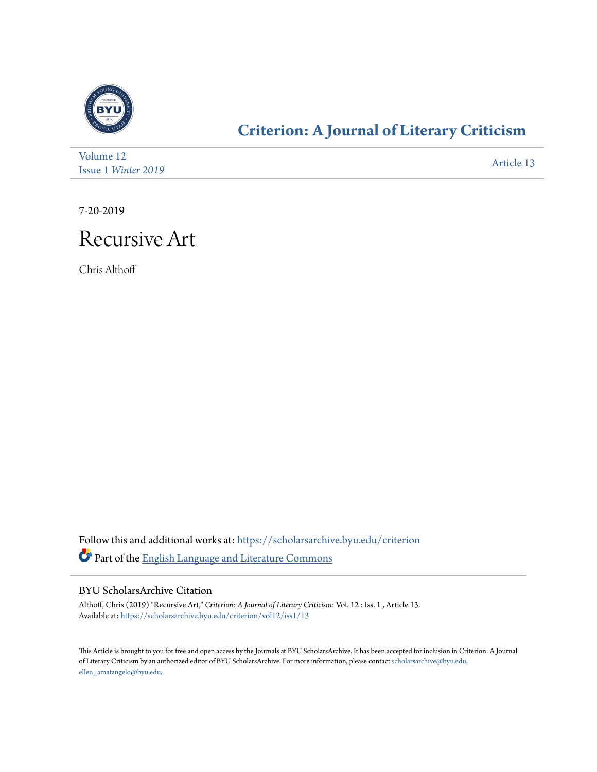

### **[Criterion: A Journal of Literary Criticism](https://scholarsarchive.byu.edu/criterion?utm_source=scholarsarchive.byu.edu%2Fcriterion%2Fvol12%2Fiss1%2F13&utm_medium=PDF&utm_campaign=PDFCoverPages)**

| Volume 12           | Article 13 |
|---------------------|------------|
| Issue 1 Winter 2019 |            |

7-20-2019

### Recursive Art

Chris Althoff

Follow this and additional works at: [https://scholarsarchive.byu.edu/criterion](https://scholarsarchive.byu.edu/criterion?utm_source=scholarsarchive.byu.edu%2Fcriterion%2Fvol12%2Fiss1%2F13&utm_medium=PDF&utm_campaign=PDFCoverPages) Part of the [English Language and Literature Commons](http://network.bepress.com/hgg/discipline/455?utm_source=scholarsarchive.byu.edu%2Fcriterion%2Fvol12%2Fiss1%2F13&utm_medium=PDF&utm_campaign=PDFCoverPages)

#### BYU ScholarsArchive Citation

Althoff, Chris (2019) "Recursive Art," *Criterion: A Journal of Literary Criticism*: Vol. 12 : Iss. 1 , Article 13. Available at: [https://scholarsarchive.byu.edu/criterion/vol12/iss1/13](https://scholarsarchive.byu.edu/criterion/vol12/iss1/13?utm_source=scholarsarchive.byu.edu%2Fcriterion%2Fvol12%2Fiss1%2F13&utm_medium=PDF&utm_campaign=PDFCoverPages)

This Article is brought to you for free and open access by the Journals at BYU ScholarsArchive. It has been accepted for inclusion in Criterion: A Journal of Literary Criticism by an authorized editor of BYU ScholarsArchive. For more information, please contact [scholarsarchive@byu.edu,](mailto:scholarsarchive@byu.edu,%20ellen_amatangelo@byu.edu) [ellen\\_amatangelo@byu.edu.](mailto:scholarsarchive@byu.edu,%20ellen_amatangelo@byu.edu)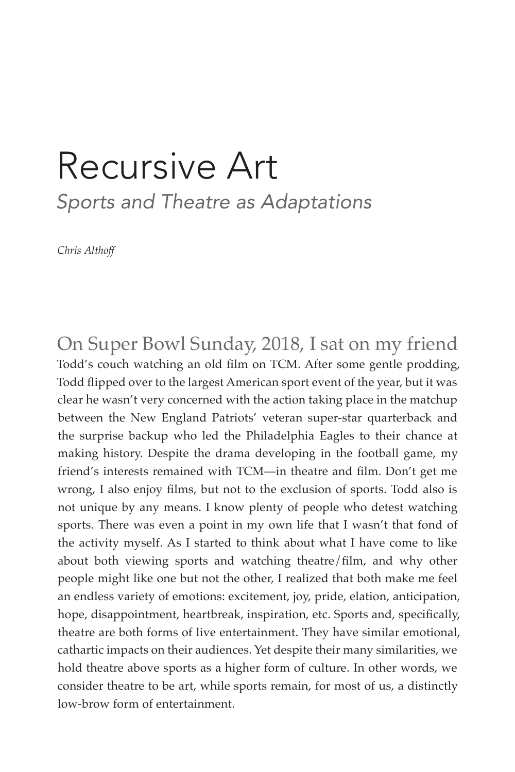## Recursive Art *Sports and Theatre as Adaptations*

*Chris Althoff*

On Super Bowl Sunday, 2018, I sat on my friend Todd's couch watching an old film on TCM. After some gentle prodding, Todd flipped over to the largest American sport event of the year, but it was clear he wasn't very concerned with the action taking place in the matchup between the New England Patriots' veteran super-star quarterback and the surprise backup who led the Philadelphia Eagles to their chance at making history. Despite the drama developing in the football game, my friend's interests remained with TCM—in theatre and film. Don't get me wrong, I also enjoy films, but not to the exclusion of sports. Todd also is not unique by any means. I know plenty of people who detest watching sports. There was even a point in my own life that I wasn't that fond of the activity myself. As I started to think about what I have come to like about both viewing sports and watching theatre/film, and why other people might like one but not the other, I realized that both make me feel an endless variety of emotions: excitement, joy, pride, elation, anticipation, hope, disappointment, heartbreak, inspiration, etc. Sports and, specifically, theatre are both forms of live entertainment. They have similar emotional, cathartic impacts on their audiences. Yet despite their many similarities, we hold theatre above sports as a higher form of culture. In other words, we consider theatre to be art, while sports remain, for most of us, a distinctly low-brow form of entertainment.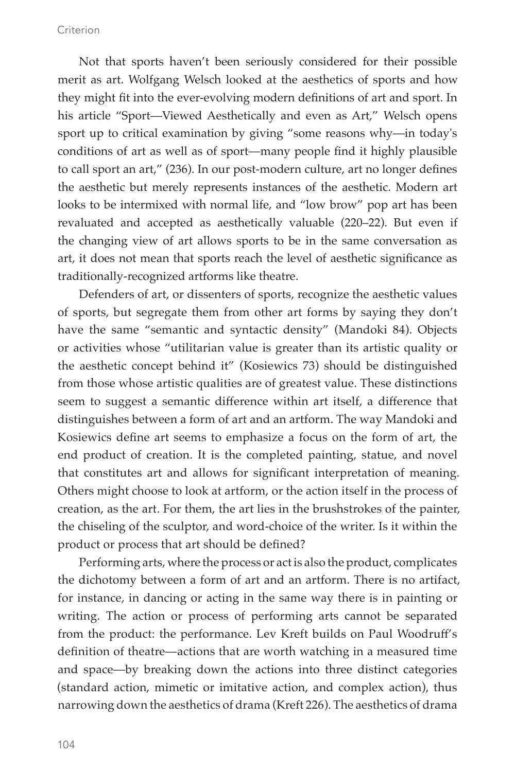Not that sports haven't been seriously considered for their possible merit as art. Wolfgang Welsch looked at the aesthetics of sports and how they might fit into the ever-evolving modern definitions of art and sport. In his article "Sport—Viewed Aesthetically and even as Art," Welsch opens sport up to critical examination by giving "some reasons why—in today's conditions of art as well as of sport—many people find it highly plausible to call sport an art," (236). In our post-modern culture, art no longer defines the aesthetic but merely represents instances of the aesthetic. Modern art looks to be intermixed with normal life, and "low brow" pop art has been revaluated and accepted as aesthetically valuable (220–22). But even if the changing view of art allows sports to be in the same conversation as art, it does not mean that sports reach the level of aesthetic significance as traditionally-recognized artforms like theatre.

Defenders of art, or dissenters of sports, recognize the aesthetic values of sports, but segregate them from other art forms by saying they don't have the same "semantic and syntactic density" (Mandoki 84). Objects or activities whose "utilitarian value is greater than its artistic quality or the aesthetic concept behind it" (Kosiewics 73) should be distinguished from those whose artistic qualities are of greatest value. These distinctions seem to suggest a semantic difference within art itself, a difference that distinguishes between a form of art and an artform. The way Mandoki and Kosiewics define art seems to emphasize a focus on the form of art, the end product of creation. It is the completed painting, statue, and novel that constitutes art and allows for significant interpretation of meaning. Others might choose to look at artform, or the action itself in the process of creation, as the art. For them, the art lies in the brushstrokes of the painter, the chiseling of the sculptor, and word-choice of the writer. Is it within the product or process that art should be defined?

Performing arts, where the process or act is also the product, complicates the dichotomy between a form of art and an artform. There is no artifact, for instance, in dancing or acting in the same way there is in painting or writing. The action or process of performing arts cannot be separated from the product: the performance. Lev Kreft builds on Paul Woodruff's definition of theatre—actions that are worth watching in a measured time and space—by breaking down the actions into three distinct categories (standard action, mimetic or imitative action, and complex action), thus narrowing down the aesthetics of drama (Kreft 226). The aesthetics of drama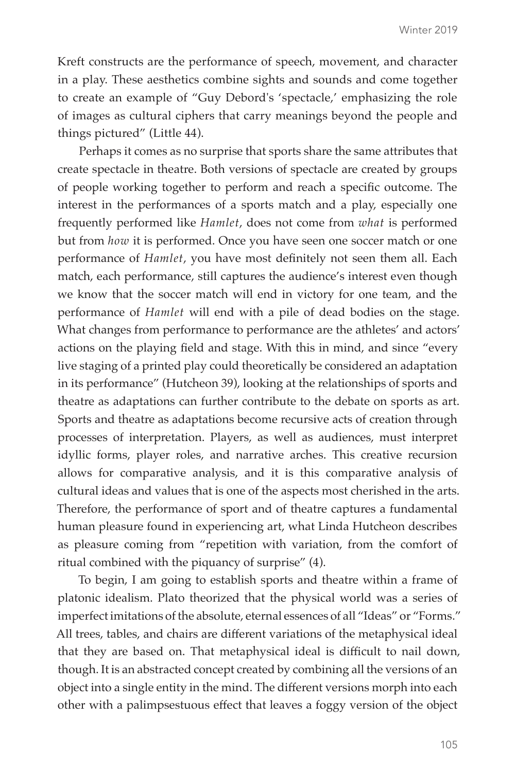Kreft constructs are the performance of speech, movement, and character in a play. These aesthetics combine sights and sounds and come together to create an example of "Guy Debord's 'spectacle,' emphasizing the role of images as cultural ciphers that carry meanings beyond the people and things pictured" (Little 44).

Perhaps it comes as no surprise that sports share the same attributes that create spectacle in theatre. Both versions of spectacle are created by groups of people working together to perform and reach a specific outcome. The interest in the performances of a sports match and a play, especially one frequently performed like *Hamlet*, does not come from *what* is performed but from *how* it is performed. Once you have seen one soccer match or one performance of *Hamlet*, you have most definitely not seen them all. Each match, each performance, still captures the audience's interest even though we know that the soccer match will end in victory for one team, and the performance of *Hamlet* will end with a pile of dead bodies on the stage. What changes from performance to performance are the athletes' and actors' actions on the playing field and stage. With this in mind, and since "every live staging of a printed play could theoretically be considered an adaptation in its performance" (Hutcheon 39), looking at the relationships of sports and theatre as adaptations can further contribute to the debate on sports as art. Sports and theatre as adaptations become recursive acts of creation through processes of interpretation. Players, as well as audiences, must interpret idyllic forms, player roles, and narrative arches. This creative recursion allows for comparative analysis, and it is this comparative analysis of cultural ideas and values that is one of the aspects most cherished in the arts. Therefore, the performance of sport and of theatre captures a fundamental human pleasure found in experiencing art, what Linda Hutcheon describes as pleasure coming from "repetition with variation, from the comfort of ritual combined with the piquancy of surprise" (4).

To begin, I am going to establish sports and theatre within a frame of platonic idealism. Plato theorized that the physical world was a series of imperfect imitations of the absolute, eternal essences of all "Ideas" or "Forms." All trees, tables, and chairs are different variations of the metaphysical ideal that they are based on. That metaphysical ideal is difficult to nail down, though. It is an abstracted concept created by combining all the versions of an object into a single entity in the mind. The different versions morph into each other with a palimpsestuous effect that leaves a foggy version of the object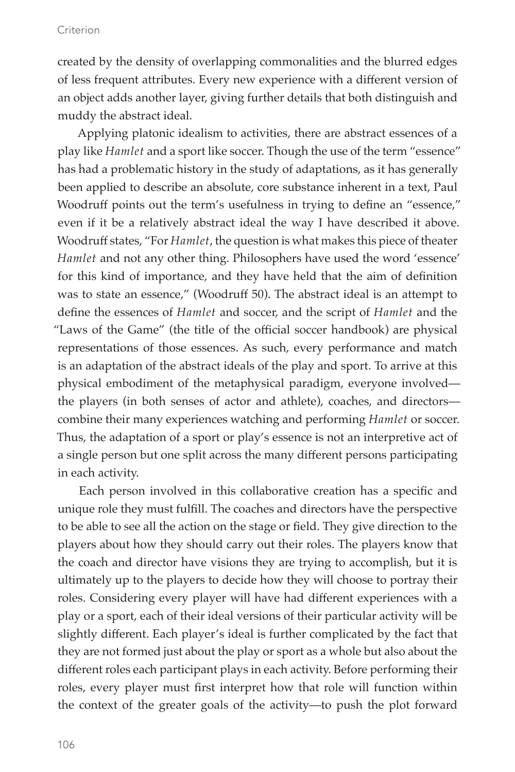created by the density of overlapping commonalities and the blurred edges of less frequent attributes. Every new experience with a different version of an object adds another layer, giving further details that both distinguish and muddy the abstract ideal.

Applying platonic idealism to activities, there are abstract essences of a play like *Hamlet* and a sport like soccer. Though the use of the term "essence" has had a problematic history in the study of adaptations, as it has generally been applied to describe an absolute, core substance inherent in a text, Paul Woodruff points out the term's usefulness in trying to define an "essence," even if it be a relatively abstract ideal the way I have described it above. Woodruff states, "For *Hamlet*, the question is what makes this piece of theater *Hamlet* and not any other thing. Philosophers have used the word 'essence' for this kind of importance, and they have held that the aim of definition was to state an essence," (Woodruff 50). The abstract ideal is an attempt to define the essences of *Hamlet* and soccer, and the script of *Hamlet* and the "Laws of the Game" (the title of the official soccer handbook) are physical representations of those essences. As such, every performance and match is an adaptation of the abstract ideals of the play and sport. To arrive at this physical embodiment of the metaphysical paradigm, everyone involved the players (in both senses of actor and athlete), coaches, and directors combine their many experiences watching and performing *Hamlet* or soccer. Thus, the adaptation of a sport or play's essence is not an interpretive act of a single person but one split across the many different persons participating in each activity.

Each person involved in this collaborative creation has a specific and unique role they must fulfill. The coaches and directors have the perspective to be able to see all the action on the stage or field. They give direction to the players about how they should carry out their roles. The players know that the coach and director have visions they are trying to accomplish, but it is ultimately up to the players to decide how they will choose to portray their roles. Considering every player will have had different experiences with a play or a sport, each of their ideal versions of their particular activity will be slightly different. Each player's ideal is further complicated by the fact that they are not formed just about the play or sport as a whole but also about the different roles each participant plays in each activity. Before performing their roles, every player must first interpret how that role will function within the context of the greater goals of the activity—to push the plot forward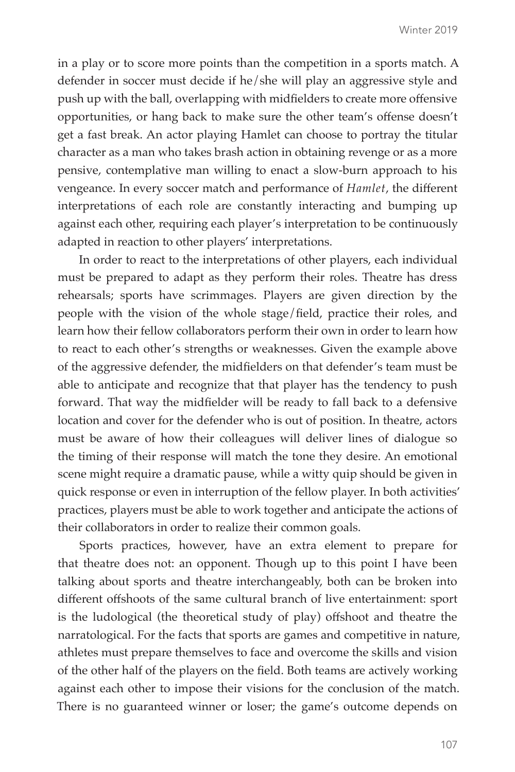in a play or to score more points than the competition in a sports match. A defender in soccer must decide if he/she will play an aggressive style and push up with the ball, overlapping with midfielders to create more offensive opportunities, or hang back to make sure the other team's offense doesn't get a fast break. An actor playing Hamlet can choose to portray the titular character as a man who takes brash action in obtaining revenge or as a more pensive, contemplative man willing to enact a slow-burn approach to his vengeance. In every soccer match and performance of *Hamlet*, the different interpretations of each role are constantly interacting and bumping up against each other, requiring each player's interpretation to be continuously adapted in reaction to other players' interpretations.

In order to react to the interpretations of other players, each individual must be prepared to adapt as they perform their roles. Theatre has dress rehearsals; sports have scrimmages. Players are given direction by the people with the vision of the whole stage/field, practice their roles, and learn how their fellow collaborators perform their own in order to learn how to react to each other's strengths or weaknesses. Given the example above of the aggressive defender, the midfielders on that defender's team must be able to anticipate and recognize that that player has the tendency to push forward. That way the midfielder will be ready to fall back to a defensive location and cover for the defender who is out of position. In theatre, actors must be aware of how their colleagues will deliver lines of dialogue so the timing of their response will match the tone they desire. An emotional scene might require a dramatic pause, while a witty quip should be given in quick response or even in interruption of the fellow player. In both activities' practices, players must be able to work together and anticipate the actions of their collaborators in order to realize their common goals.

Sports practices, however, have an extra element to prepare for that theatre does not: an opponent. Though up to this point I have been talking about sports and theatre interchangeably, both can be broken into different offshoots of the same cultural branch of live entertainment: sport is the ludological (the theoretical study of play) offshoot and theatre the narratological. For the facts that sports are games and competitive in nature, athletes must prepare themselves to face and overcome the skills and vision of the other half of the players on the field. Both teams are actively working against each other to impose their visions for the conclusion of the match. There is no guaranteed winner or loser; the game's outcome depends on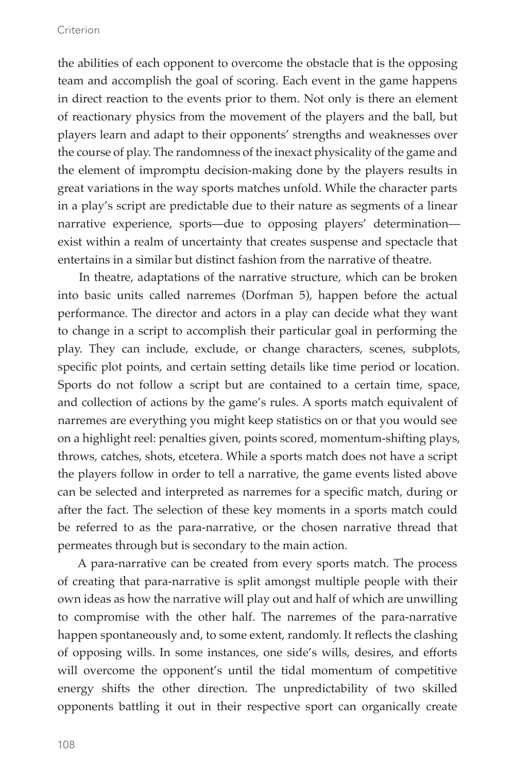the abilities of each opponent to overcome the obstacle that is the opposing team and accomplish the goal of scoring. Each event in the game happens in direct reaction to the events prior to them. Not only is there an element of reactionary physics from the movement of the players and the ball, but players learn and adapt to their opponents' strengths and weaknesses over the course of play. The randomness of the inexact physicality of the game and the element of impromptu decision-making done by the players results in great variations in the way sports matches unfold. While the character parts in a play's script are predictable due to their nature as segments of a linear narrative experience, sports—due to opposing players' determination exist within a realm of uncertainty that creates suspense and spectacle that entertains in a similar but distinct fashion from the narrative of theatre.

In theatre, adaptations of the narrative structure, which can be broken into basic units called narremes (Dorfman 5), happen before the actual performance. The director and actors in a play can decide what they want to change in a script to accomplish their particular goal in performing the play. They can include, exclude, or change characters, scenes, subplots, specific plot points, and certain setting details like time period or location. Sports do not follow a script but are contained to a certain time, space, and collection of actions by the game's rules. A sports match equivalent of narremes are everything you might keep statistics on or that you would see on a highlight reel: penalties given, points scored, momentum-shifting plays, throws, catches, shots, etcetera. While a sports match does not have a script the players follow in order to tell a narrative, the game events listed above can be selected and interpreted as narremes for a specific match, during or after the fact. The selection of these key moments in a sports match could be referred to as the para-narrative, or the chosen narrative thread that permeates through but is secondary to the main action.

A para-narrative can be created from every sports match. The process of creating that para-narrative is split amongst multiple people with their own ideas as how the narrative will play out and half of which are unwilling to compromise with the other half. The narremes of the para-narrative happen spontaneously and, to some extent, randomly. It reflects the clashing of opposing wills. In some instances, one side's wills, desires, and efforts will overcome the opponent's until the tidal momentum of competitive energy shifts the other direction. The unpredictability of two skilled opponents battling it out in their respective sport can organically create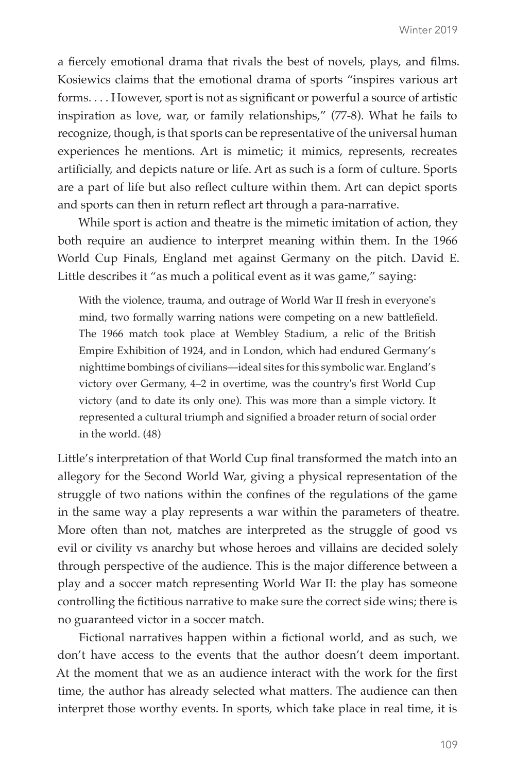a fiercely emotional drama that rivals the best of novels, plays, and films. Kosiewics claims that the emotional drama of sports "inspires various art forms. . . . However, sport is not as significant or powerful a source of artistic inspiration as love, war, or family relationships," (77-8). What he fails to recognize, though, is that sports can be representative of the universal human experiences he mentions. Art is mimetic; it mimics, represents, recreates artificially, and depicts nature or life. Art as such is a form of culture. Sports are a part of life but also reflect culture within them. Art can depict sports and sports can then in return reflect art through a para-narrative.

While sport is action and theatre is the mimetic imitation of action, they both require an audience to interpret meaning within them. In the 1966 World Cup Finals, England met against Germany on the pitch. David E. Little describes it "as much a political event as it was game," saying:

With the violence, trauma, and outrage of World War II fresh in everyone's mind, two formally warring nations were competing on a new battlefield. The 1966 match took place at Wembley Stadium, a relic of the British Empire Exhibition of 1924, and in London, which had endured Germany's nighttime bombings of civilians—ideal sites for this symbolic war. England's victory over Germany, 4–2 in overtime, was the country's first World Cup victory (and to date its only one). This was more than a simple victory. It represented a cultural triumph and signified a broader return of social order in the world. (48)

Little's interpretation of that World Cup final transformed the match into an allegory for the Second World War, giving a physical representation of the struggle of two nations within the confines of the regulations of the game in the same way a play represents a war within the parameters of theatre. More often than not, matches are interpreted as the struggle of good vs evil or civility vs anarchy but whose heroes and villains are decided solely through perspective of the audience. This is the major difference between a play and a soccer match representing World War II: the play has someone controlling the fictitious narrative to make sure the correct side wins; there is no guaranteed victor in a soccer match.

Fictional narratives happen within a fictional world, and as such, we don't have access to the events that the author doesn't deem important. At the moment that we as an audience interact with the work for the first time, the author has already selected what matters. The audience can then interpret those worthy events. In sports, which take place in real time, it is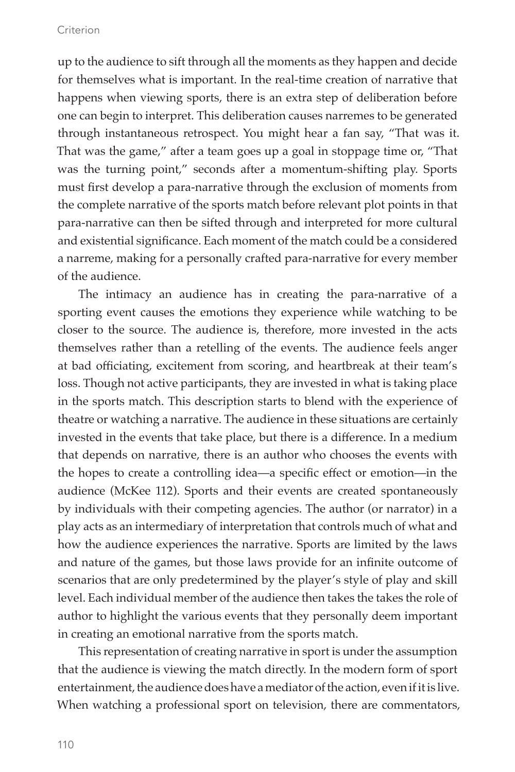up to the audience to sift through all the moments as they happen and decide for themselves what is important. In the real-time creation of narrative that happens when viewing sports, there is an extra step of deliberation before one can begin to interpret. This deliberation causes narremes to be generated through instantaneous retrospect. You might hear a fan say, "That was it. That was the game," after a team goes up a goal in stoppage time or, "That was the turning point," seconds after a momentum-shifting play. Sports must first develop a para-narrative through the exclusion of moments from the complete narrative of the sports match before relevant plot points in that para-narrative can then be sifted through and interpreted for more cultural and existential significance. Each moment of the match could be a considered a narreme, making for a personally crafted para-narrative for every member of the audience.

The intimacy an audience has in creating the para-narrative of a sporting event causes the emotions they experience while watching to be closer to the source. The audience is, therefore, more invested in the acts themselves rather than a retelling of the events. The audience feels anger at bad officiating, excitement from scoring, and heartbreak at their team's loss. Though not active participants, they are invested in what is taking place in the sports match. This description starts to blend with the experience of theatre or watching a narrative. The audience in these situations are certainly invested in the events that take place, but there is a difference. In a medium that depends on narrative, there is an author who chooses the events with the hopes to create a controlling idea—a specific effect or emotion—in the audience (McKee 112). Sports and their events are created spontaneously by individuals with their competing agencies. The author (or narrator) in a play acts as an intermediary of interpretation that controls much of what and how the audience experiences the narrative. Sports are limited by the laws and nature of the games, but those laws provide for an infinite outcome of scenarios that are only predetermined by the player's style of play and skill level. Each individual member of the audience then takes the takes the role of author to highlight the various events that they personally deem important in creating an emotional narrative from the sports match.

This representation of creating narrative in sport is under the assumption that the audience is viewing the match directly. In the modern form of sport entertainment, the audience does have a mediator of the action, even if it is live. When watching a professional sport on television, there are commentators,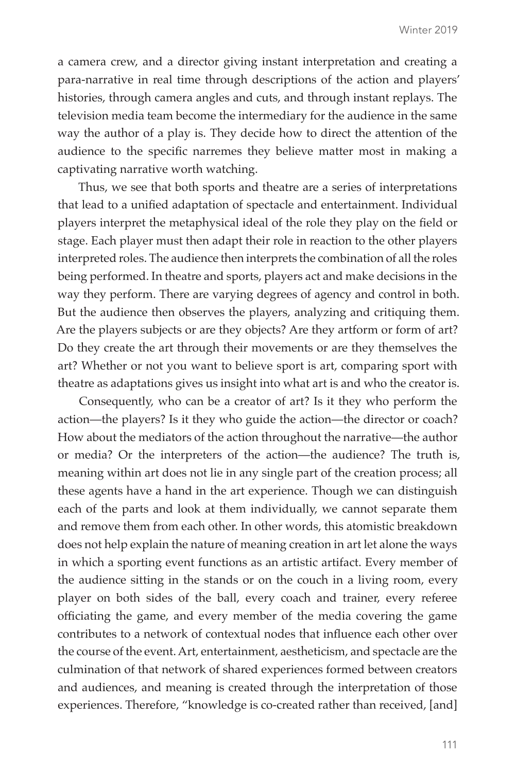a camera crew, and a director giving instant interpretation and creating a para-narrative in real time through descriptions of the action and players' histories, through camera angles and cuts, and through instant replays. The television media team become the intermediary for the audience in the same way the author of a play is. They decide how to direct the attention of the audience to the specific narremes they believe matter most in making a captivating narrative worth watching.

Thus, we see that both sports and theatre are a series of interpretations that lead to a unified adaptation of spectacle and entertainment. Individual players interpret the metaphysical ideal of the role they play on the field or stage. Each player must then adapt their role in reaction to the other players interpreted roles. The audience then interprets the combination of all the roles being performed. In theatre and sports, players act and make decisions in the way they perform. There are varying degrees of agency and control in both. But the audience then observes the players, analyzing and critiquing them. Are the players subjects or are they objects? Are they artform or form of art? Do they create the art through their movements or are they themselves the art? Whether or not you want to believe sport is art, comparing sport with theatre as adaptations gives us insight into what art is and who the creator is.

Consequently, who can be a creator of art? Is it they who perform the action—the players? Is it they who guide the action—the director or coach? How about the mediators of the action throughout the narrative—the author or media? Or the interpreters of the action—the audience? The truth is, meaning within art does not lie in any single part of the creation process; all these agents have a hand in the art experience. Though we can distinguish each of the parts and look at them individually, we cannot separate them and remove them from each other. In other words, this atomistic breakdown does not help explain the nature of meaning creation in art let alone the ways in which a sporting event functions as an artistic artifact. Every member of the audience sitting in the stands or on the couch in a living room, every player on both sides of the ball, every coach and trainer, every referee officiating the game, and every member of the media covering the game contributes to a network of contextual nodes that influence each other over the course of the event. Art, entertainment, aestheticism, and spectacle are the culmination of that network of shared experiences formed between creators and audiences, and meaning is created through the interpretation of those experiences. Therefore, "knowledge is co-created rather than received, [and]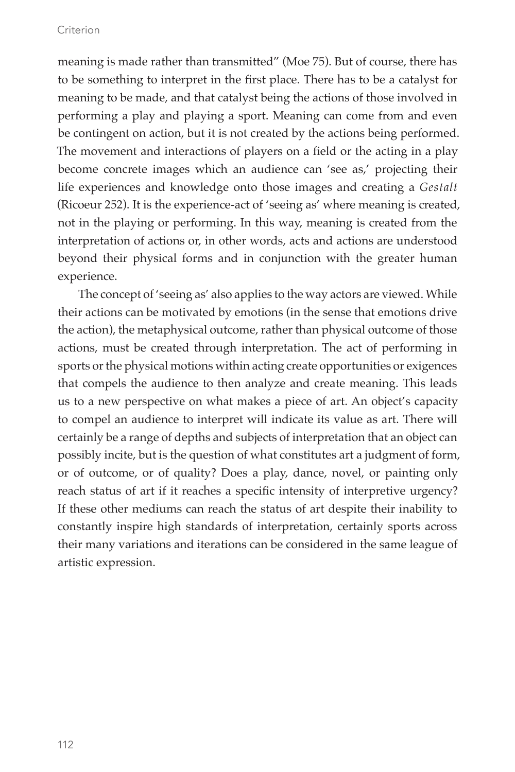meaning is made rather than transmitted" (Moe 75). But of course, there has to be something to interpret in the first place. There has to be a catalyst for meaning to be made, and that catalyst being the actions of those involved in performing a play and playing a sport. Meaning can come from and even be contingent on action, but it is not created by the actions being performed. The movement and interactions of players on a field or the acting in a play become concrete images which an audience can 'see as,' projecting their life experiences and knowledge onto those images and creating a *Gestalt* (Ricoeur 252). It is the experience-act of 'seeing as' where meaning is created, not in the playing or performing. In this way, meaning is created from the interpretation of actions or, in other words, acts and actions are understood beyond their physical forms and in conjunction with the greater human experience.

The concept of 'seeing as' also applies to the way actors are viewed. While their actions can be motivated by emotions (in the sense that emotions drive the action), the metaphysical outcome, rather than physical outcome of those actions, must be created through interpretation. The act of performing in sports or the physical motions within acting create opportunities or exigences that compels the audience to then analyze and create meaning. This leads us to a new perspective on what makes a piece of art. An object's capacity to compel an audience to interpret will indicate its value as art. There will certainly be a range of depths and subjects of interpretation that an object can possibly incite, but is the question of what constitutes art a judgment of form, or of outcome, or of quality? Does a play, dance, novel, or painting only reach status of art if it reaches a specific intensity of interpretive urgency? If these other mediums can reach the status of art despite their inability to constantly inspire high standards of interpretation, certainly sports across their many variations and iterations can be considered in the same league of artistic expression.